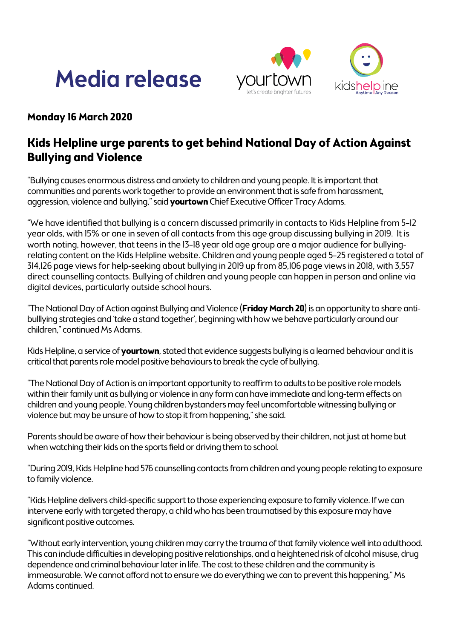## **Media release**





## **Monday 16 March 2020**

## **Kids Helpline urge parents to get behind National Day of Action Against Bullying and Violence**

"Bullying causes enormous distress and anxiety to children and young people. It is important that communities and parents work together to provide an environment that is safe from harassment, aggression, violence and bullying," said **yourtown** Chief Executive Officer Tracy Adams.

"We have identified that bullying is a concern discussed primarily in contacts to Kids Helpline from 5–12 year olds, with 15% or one in seven of all contacts from this age group discussing bullying in 2019. It is worth noting, however, that teens in the 13–18 year old age group are a major audience for bullyingrelating content on the Kids Helpline website. Children and young people aged 5–25 registered a total of 314,126 page views for help-seeking about bullying in 2019 up from 85,106 page views in 2018, with 3,557 direct counselling contacts. Bullying of children and young people can happen in person and online via digital devices, particularly outside school hours.

"The National Day of Action against Bullying and Violence (**Friday March 20**) is an opportunity to share antibulllying strategies and 'take a stand together', beginning with how we behave particularly around our children," continued Ms Adams.

Kids Helpline, a service of **yourtown**, stated that evidence suggests bullying is a learned behaviour and it is critical that parents role model positive behaviours to break the cycle of bullying.

"The National Day of Action is an important opportunity to reaffirm to adults to be positive role models within their family unit as bullying or violence in any form can have immediate and long-term effects on children and young people. Young children bystanders may feel uncomfortable witnessing bullying or violence but may be unsure of how to stop it from happening," she said.

Parents should be aware of how their behaviour is being observed by their children, not just at home but when watching their kids on the sports field or driving them to school.

"During 2019, Kids Helpline had 576 counselling contacts from children and young people relating to exposure to family violence.

"Kids Helpline delivers child-specific support to those experiencing exposure to family violence. If we can intervene early with targeted therapy, a child who has been traumatised by this exposure may have significant positive outcomes.

"Without early intervention, young children may carry the trauma of that family violence well into adulthood. This can include difficulties in developing positive relationships, and a heightened risk of alcohol misuse, drug dependence and criminal behaviour later in life. The cost to these children and the community is immeasurable. We cannot afford not to ensure we do everything we can to prevent this happening," Ms Adams continued.